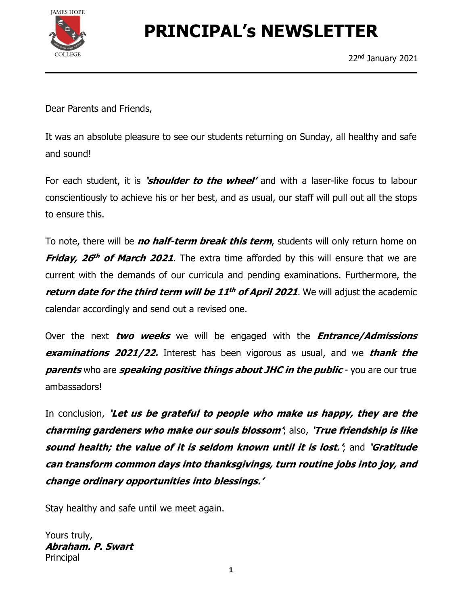

# PRINCIPAL's NEWSLETTER

Dear Parents and Friends,

It was an absolute pleasure to see our students returning on Sunday, all healthy and safe and sound!

For each student, it is 'shoulder to the wheel' and with a laser-like focus to labour conscientiously to achieve his or her best, and as usual, our staff will pull out all the stops to ensure this.

To note, there will be *no half-term break this term*, students will only return home on **Friday, 26<sup>th</sup> of March 2021.** The extra time afforded by this will ensure that we are current with the demands of our curricula and pending examinations. Furthermore, the return date for the third term will be  $11^{th}$  of April 2021. We will adjust the academic calendar accordingly and send out a revised one.

Over the next *two weeks* we will be engaged with the *Entrance/Admissions* **examinations 2021/22.** Interest has been vigorous as usual, and we **thank the parents** who are **speaking positive things about JHC in the public** - you are our true ambassadors!

In conclusion, 'Let us be grateful to people who make us happy, they are the charming gardeners who make our souls blossom'; also, 'True friendship is like sound health; the value of it is seldom known until it is lost.', and 'Gratitude can transform common days into thanksgivings, turn routine jobs into joy, and change ordinary opportunities into blessings.'

Stay healthy and safe until we meet again.

Yours truly, Abraham. P. Swart Principal